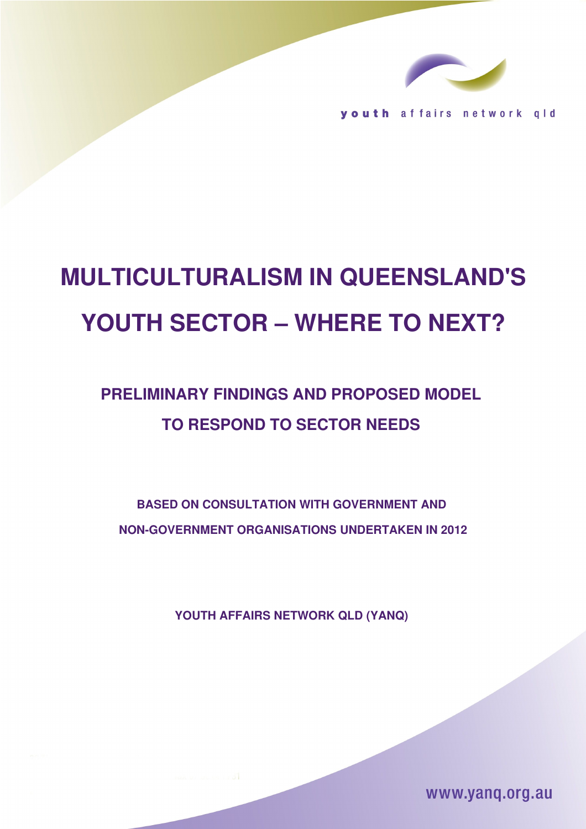

youth affairs network gld

# **MULTICULTURALISM IN QUEENSLAND'S YOUTH SECTOR – WHERE TO NEXT?**

## **PRELIMINARY FINDINGS AND PROPOSED MODEL TO RESPOND TO SECTOR NEEDS**

**BASED ON CONSULTATION WITH GOVERNMENT AND NON-GOVERNMENT ORGANISATIONS UNDERTAKEN IN 2012** 

**YOUTH AFFAIRS NETWORK QLD (YANQ)** 

www.yang.org.au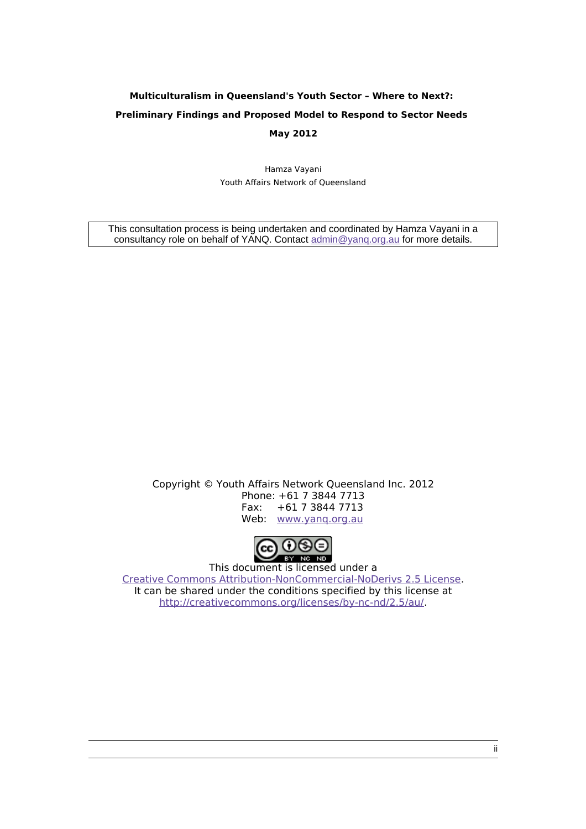## **Multiculturalism in Queensland's Youth Sector – Where to Next?: Preliminary Findings and Proposed Model to Respond to Sector Needs May 2012**

Hamza Vayani Youth Affairs Network of Queensland

This consultation process is being undertaken and coordinated by Hamza Vayani in a consultancy role on behalf of YANQ. Contact admin@yang.org.au for more details.

> Copyright © Youth Affairs Network Queensland Inc. 2012 Phone: +61 7 3844 7713 Fax: +61 7 3844 7713 Web: [www.yanq.org.au](http://www.yanq.org.au/)



This document is licensed under a [Creative Commons Attribution-NonCommercial-NoDerivs 2.5 License.](http://creativecommons.org/licenses/by-nc-nd/2.5/au/) It can be shared under the conditions specified by this license at [http://creativecommons.org/licenses/by-nc-nd/2.5/au/.](http://creativecommons.org/licenses/by-nc-nd/2.5/au/)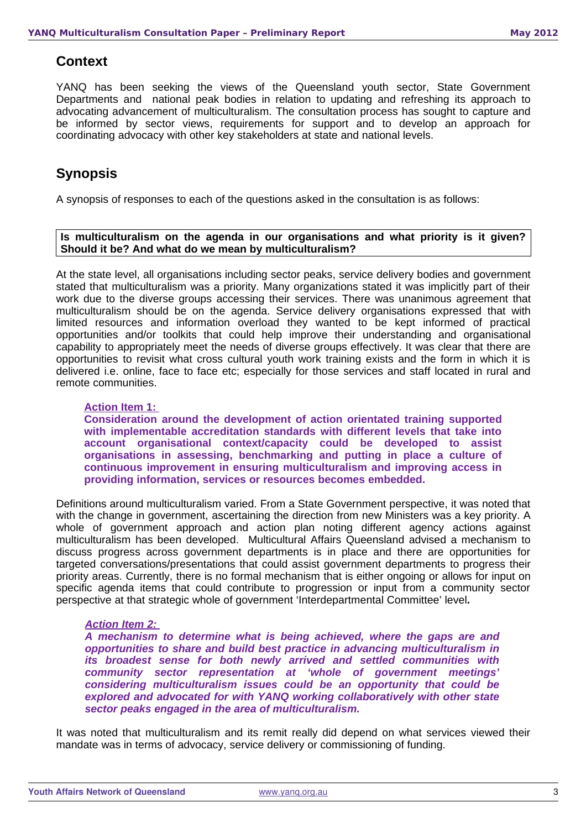#### **Context**

YANQ has been seeking the views of the Queensland youth sector, State Government Departments and national peak bodies in relation to updating and refreshing its approach to advocating advancement of multiculturalism. The consultation process has sought to capture and be informed by sector views, requirements for support and to develop an approach for coordinating advocacy with other key stakeholders at state and national levels.

## **Synopsis**

A synopsis of responses to each of the questions asked in the consultation is as follows:

#### **Is multiculturalism on the agenda in our organisations and what priority is it given? Should it be? And what do we mean by multiculturalism?**

At the state level, all organisations including sector peaks, service delivery bodies and government stated that multiculturalism was a priority. Many organizations stated it was implicitly part of their work due to the diverse groups accessing their services. There was unanimous agreement that multiculturalism should be on the agenda. Service delivery organisations expressed that with limited resources and information overload they wanted to be kept informed of practical opportunities and/or toolkits that could help improve their understanding and organisational capability to appropriately meet the needs of diverse groups effectively. It was clear that there are opportunities to revisit what cross cultural youth work training exists and the form in which it is delivered i.e. online, face to face etc; especially for those services and staff located in rural and remote communities.

#### **Action Item 1:**

**Consideration around the development of action orientated training supported with implementable accreditation standards with different levels that take into account organisational context/capacity could be developed to assist organisations in assessing, benchmarking and putting in place a culture of continuous improvement in ensuring multiculturalism and improving access in providing information, services or resources becomes embedded.** 

Definitions around multiculturalism varied. From a State Government perspective, it was noted that with the change in government, ascertaining the direction from new Ministers was a key priority. A whole of government approach and action plan noting different agency actions against multiculturalism has been developed. Multicultural Affairs Queensland advised a mechanism to discuss progress across government departments is in place and there are opportunities for targeted conversations/presentations that could assist government departments to progress their priority areas. Currently, there is no formal mechanism that is either ongoing or allows for input on specific agenda items that could contribute to progression or input from a community sector perspective at that strategic whole of government 'Interdepartmental Committee' level*.* 

#### *Action Item 2:*

*A mechanism to determine what is being achieved, where the gaps are and opportunities to share and build best practice in advancing multiculturalism in its broadest sense for both newly arrived and settled communities with community sector representation at 'whole of government meetings' considering multiculturalism issues could be an opportunity that could be explored and advocated for with YANQ working collaboratively with other state sector peaks engaged in the area of multiculturalism.* 

It was noted that multiculturalism and its remit really did depend on what services viewed their mandate was in terms of advocacy, service delivery or commissioning of funding.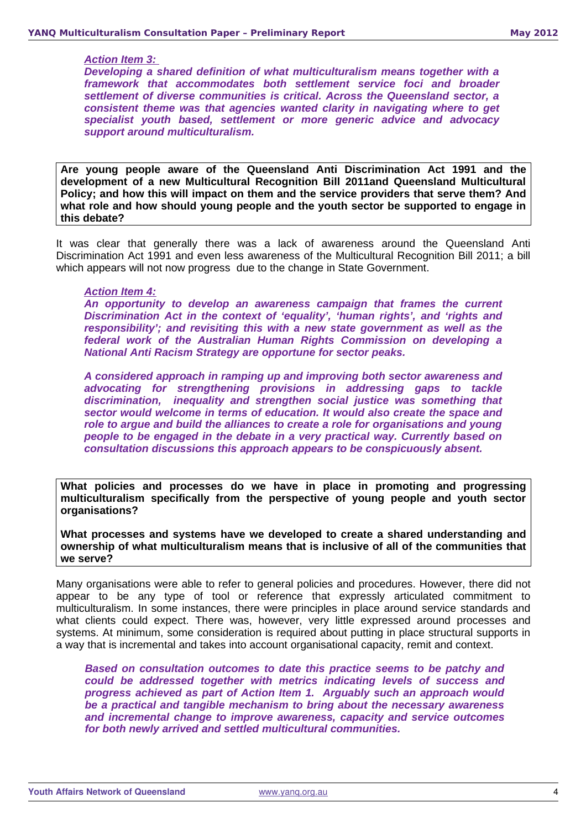#### *Action Item 3:*

*Developing a shared definition of what multiculturalism means together with a framework that accommodates both settlement service foci and broader settlement of diverse communities is critical. Across the Queensland sector, a consistent theme was that agencies wanted clarity in navigating where to get specialist youth based, settlement or more generic advice and advocacy support around multiculturalism.* 

**Are young people aware of the Queensland Anti Discrimination Act 1991 and the development of a new Multicultural Recognition Bill 2011and Queensland Multicultural Policy; and how this will impact on them and the service providers that serve them? And what role and how should young people and the youth sector be supported to engage in this debate?** 

It was clear that generally there was a lack of awareness around the Queensland Anti Discrimination Act 1991 and even less awareness of the Multicultural Recognition Bill 2011; a bill which appears will not now progress due to the change in State Government.

#### *Action Item 4:*

*An opportunity to develop an awareness campaign that frames the current Discrimination Act in the context of 'equality', 'human rights', and 'rights and responsibility'; and revisiting this with a new state government as well as the federal work of the Australian Human Rights Commission on developing a National Anti Racism Strategy are opportune for sector peaks.* 

*A considered approach in ramping up and improving both sector awareness and advocating for strengthening provisions in addressing gaps to tackle discrimination, inequality and strengthen social justice was something that sector would welcome in terms of education. It would also create the space and role to argue and build the alliances to create a role for organisations and young people to be engaged in the debate in a very practical way. Currently based on consultation discussions this approach appears to be conspicuously absent.*

**What policies and processes do we have in place in promoting and progressing multiculturalism specifically from the perspective of young people and youth sector organisations?**

**What processes and systems have we developed to create a shared understanding and ownership of what multiculturalism means that is inclusive of all of the communities that we serve?** 

Many organisations were able to refer to general policies and procedures. However, there did not appear to be any type of tool or reference that expressly articulated commitment to multiculturalism. In some instances, there were principles in place around service standards and what clients could expect. There was, however, very little expressed around processes and systems. At minimum, some consideration is required about putting in place structural supports in a way that is incremental and takes into account organisational capacity, remit and context.

*Based on consultation outcomes to date this practice seems to be patchy and could be addressed together with metrics indicating levels of success and progress achieved as part of Action Item 1. Arguably such an approach would be a practical and tangible mechanism to bring about the necessary awareness and incremental change to improve awareness, capacity and service outcomes for both newly arrived and settled multicultural communities.*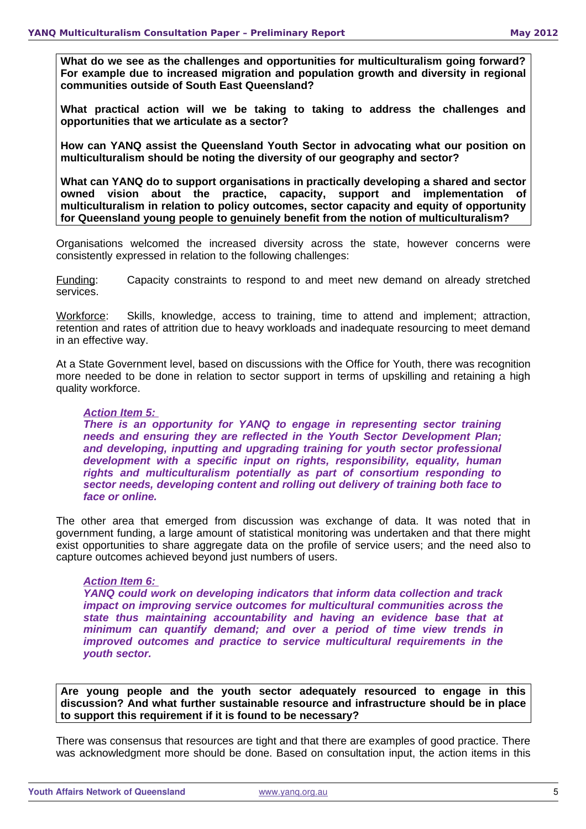**What do we see as the challenges and opportunities for multiculturalism going forward? For example due to increased migration and population growth and diversity in regional communities outside of South East Queensland?** 

**What practical action will we be taking to taking to address the challenges and opportunities that we articulate as a sector?**

**How can YANQ assist the Queensland Youth Sector in advocating what our position on multiculturalism should be noting the diversity of our geography and sector?**

**What can YANQ do to support organisations in practically developing a shared and sector owned vision about the practice, capacity, support and implementation of multiculturalism in relation to policy outcomes, sector capacity and equity of opportunity for Queensland young people to genuinely benefit from the notion of multiculturalism?** 

Organisations welcomed the increased diversity across the state, however concerns were consistently expressed in relation to the following challenges:

Funding: Capacity constraints to respond to and meet new demand on already stretched services.

Workforce: Skills, knowledge, access to training, time to attend and implement; attraction, retention and rates of attrition due to heavy workloads and inadequate resourcing to meet demand in an effective way.

At a State Government level, based on discussions with the Office for Youth, there was recognition more needed to be done in relation to sector support in terms of upskilling and retaining a high quality workforce.

#### *Action Item 5:*

*There is an opportunity for YANQ to engage in representing sector training needs and ensuring they are reflected in the Youth Sector Development Plan; and developing, inputting and upgrading training for youth sector professional development with a specific input on rights, responsibility, equality, human rights and multiculturalism potentially as part of consortium responding to sector needs, developing content and rolling out delivery of training both face to face or online.* 

The other area that emerged from discussion was exchange of data. It was noted that in government funding, a large amount of statistical monitoring was undertaken and that there might exist opportunities to share aggregate data on the profile of service users; and the need also to capture outcomes achieved beyond just numbers of users.

#### *Action Item 6:*

*YANQ could work on developing indicators that inform data collection and track impact on improving service outcomes for multicultural communities across the state thus maintaining accountability and having an evidence base that at minimum can quantify demand; and over a period of time view trends in improved outcomes and practice to service multicultural requirements in the youth sector.* 

**Are young people and the youth sector adequately resourced to engage in this discussion? And what further sustainable resource and infrastructure should be in place to support this requirement if it is found to be necessary?** 

There was consensus that resources are tight and that there are examples of good practice. There was acknowledgment more should be done. Based on consultation input, the action items in this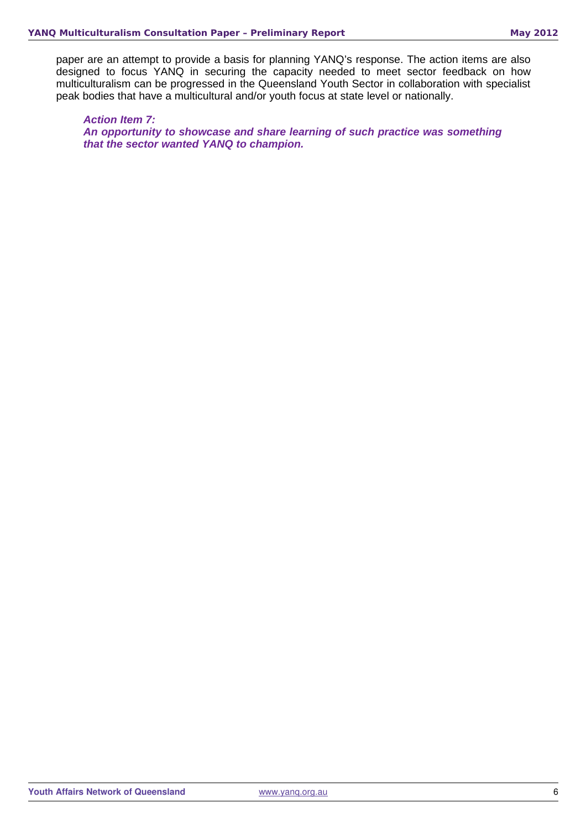paper are an attempt to provide a basis for planning YANQ's response. The action items are also designed to focus YANQ in securing the capacity needed to meet sector feedback on how multiculturalism can be progressed in the Queensland Youth Sector in collaboration with specialist peak bodies that have a multicultural and/or youth focus at state level or nationally.

*Action Item 7: An opportunity to showcase and share learning of such practice was something that the sector wanted YANQ to champion.*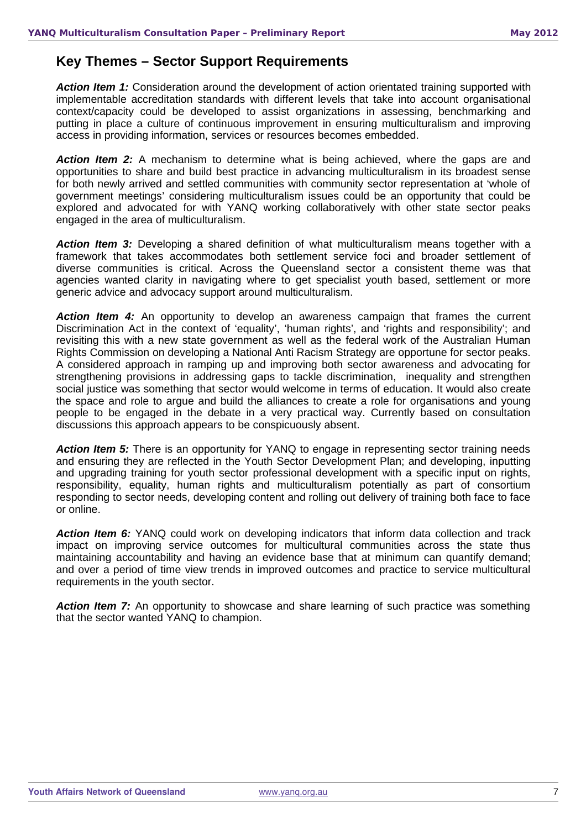## **Key Themes – Sector Support Requirements**

*Action Item 1:* Consideration around the development of action orientated training supported with implementable accreditation standards with different levels that take into account organisational context/capacity could be developed to assist organizations in assessing, benchmarking and putting in place a culture of continuous improvement in ensuring multiculturalism and improving access in providing information, services or resources becomes embedded.

**Action Item 2:** A mechanism to determine what is being achieved, where the gaps are and opportunities to share and build best practice in advancing multiculturalism in its broadest sense for both newly arrived and settled communities with community sector representation at 'whole of government meetings' considering multiculturalism issues could be an opportunity that could be explored and advocated for with YANQ working collaboratively with other state sector peaks engaged in the area of multiculturalism.

*Action Item 3:* Developing a shared definition of what multiculturalism means together with a framework that takes accommodates both settlement service foci and broader settlement of diverse communities is critical. Across the Queensland sector a consistent theme was that agencies wanted clarity in navigating where to get specialist youth based, settlement or more generic advice and advocacy support around multiculturalism.

Action Item 4: An opportunity to develop an awareness campaign that frames the current Discrimination Act in the context of 'equality', 'human rights', and 'rights and responsibility'; and revisiting this with a new state government as well as the federal work of the Australian Human Rights Commission on developing a National Anti Racism Strategy are opportune for sector peaks. A considered approach in ramping up and improving both sector awareness and advocating for strengthening provisions in addressing gaps to tackle discrimination, inequality and strengthen social justice was something that sector would welcome in terms of education. It would also create the space and role to argue and build the alliances to create a role for organisations and young people to be engaged in the debate in a very practical way. Currently based on consultation discussions this approach appears to be conspicuously absent.

*Action Item 5:* There is an opportunity for YANQ to engage in representing sector training needs and ensuring they are reflected in the Youth Sector Development Plan; and developing, inputting and upgrading training for youth sector professional development with a specific input on rights, responsibility, equality, human rights and multiculturalism potentially as part of consortium responding to sector needs, developing content and rolling out delivery of training both face to face or online.

**Action Item 6:** YANO could work on developing indicators that inform data collection and track impact on improving service outcomes for multicultural communities across the state thus maintaining accountability and having an evidence base that at minimum can quantify demand; and over a period of time view trends in improved outcomes and practice to service multicultural requirements in the youth sector.

**Action Item 7:** An opportunity to showcase and share learning of such practice was something that the sector wanted YANQ to champion.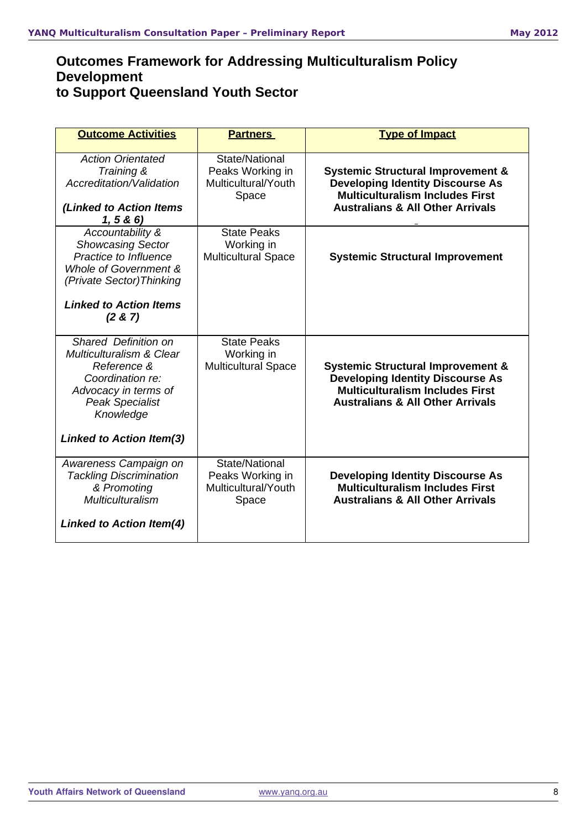## **Outcomes Framework for Addressing Multiculturalism Policy Development to Support Queensland Youth Sector**

| <b>Outcome Activities</b>                                                                                                                                     | <b>Partners</b>                                                    | <b>Type of Impact</b>                                                                                                                                                            |
|---------------------------------------------------------------------------------------------------------------------------------------------------------------|--------------------------------------------------------------------|----------------------------------------------------------------------------------------------------------------------------------------------------------------------------------|
| <b>Action Orientated</b><br>Training &<br>Accreditation/Validation<br>(Linked to Action Items<br>1, 5 & 6                                                     | State/National<br>Peaks Working in<br>Multicultural/Youth<br>Space | <b>Systemic Structural Improvement &amp;</b><br><b>Developing Identity Discourse As</b><br><b>Multiculturalism Includes First</b><br><b>Australians &amp; All Other Arrivals</b> |
| Accountability &<br><b>Showcasing Sector</b><br>Practice to Influence<br>Whole of Government &<br>(Private Sector) Thinking<br><b>Linked to Action Items</b>  | <b>State Peaks</b><br>Working in<br><b>Multicultural Space</b>     | <b>Systemic Structural Improvement</b>                                                                                                                                           |
| (2 & 7)                                                                                                                                                       |                                                                    |                                                                                                                                                                                  |
| Shared Definition on<br><b>Multiculturalism &amp; Clear</b><br>Reference &<br>Coordination re:<br>Advocacy in terms of<br><b>Peak Specialist</b><br>Knowledge | <b>State Peaks</b><br>Working in<br><b>Multicultural Space</b>     | <b>Systemic Structural Improvement &amp;</b><br><b>Developing Identity Discourse As</b><br><b>Multiculturalism Includes First</b><br><b>Australians &amp; All Other Arrivals</b> |
| <b>Linked to Action Item(3)</b>                                                                                                                               |                                                                    |                                                                                                                                                                                  |
| Awareness Campaign on<br><b>Tackling Discrimination</b><br>& Promoting<br><b>Multiculturalism</b>                                                             | State/National<br>Peaks Working in<br>Multicultural/Youth<br>Space | <b>Developing Identity Discourse As</b><br><b>Multiculturalism Includes First</b><br><b>Australians &amp; All Other Arrivals</b>                                                 |
| <b>Linked to Action Item(4)</b>                                                                                                                               |                                                                    |                                                                                                                                                                                  |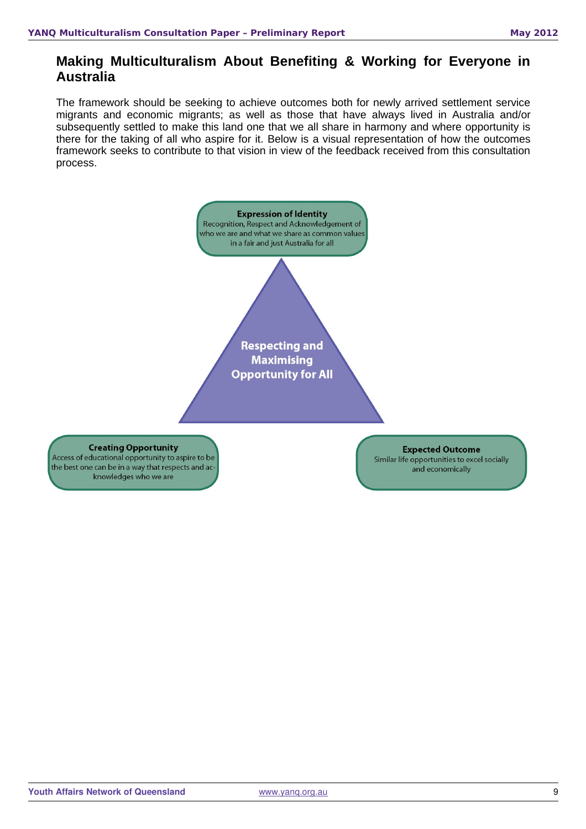## **Making Multiculturalism About Benefiting & Working for Everyone in Australia**

The framework should be seeking to achieve outcomes both for newly arrived settlement service migrants and economic migrants; as well as those that have always lived in Australia and/or subsequently settled to make this land one that we all share in harmony and where opportunity is there for the taking of all who aspire for it. Below is a visual representation of how the outcomes framework seeks to contribute to that vision in view of the feedback received from this consultation process.

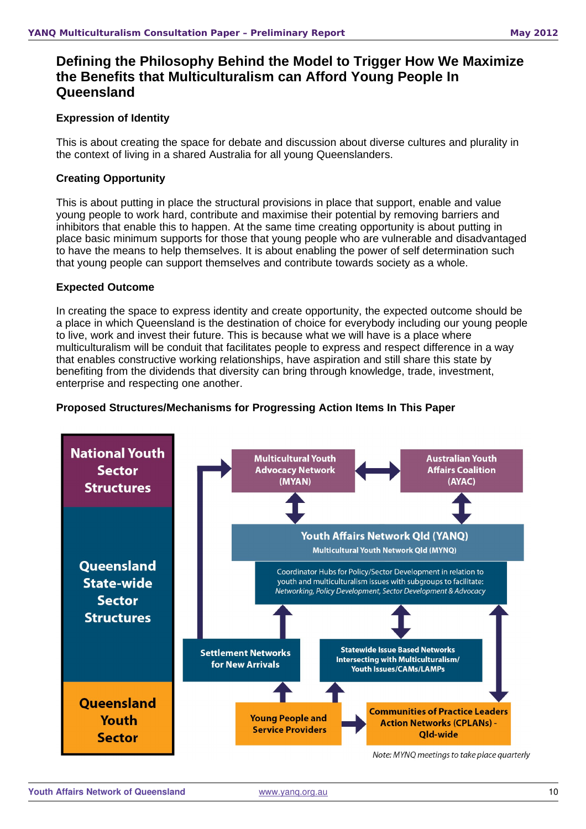## **Defining the Philosophy Behind the Model to Trigger How We Maximize the Benefits that Multiculturalism can Afford Young People In Queensland**

#### **Expression of Identity**

This is about creating the space for debate and discussion about diverse cultures and plurality in the context of living in a shared Australia for all young Queenslanders.

#### **Creating Opportunity**

This is about putting in place the structural provisions in place that support, enable and value young people to work hard, contribute and maximise their potential by removing barriers and inhibitors that enable this to happen. At the same time creating opportunity is about putting in place basic minimum supports for those that young people who are vulnerable and disadvantaged to have the means to help themselves. It is about enabling the power of self determination such that young people can support themselves and contribute towards society as a whole.

#### **Expected Outcome**

In creating the space to express identity and create opportunity, the expected outcome should be a place in which Queensland is the destination of choice for everybody including our young people to live, work and invest their future. This is because what we will have is a place where multiculturalism will be conduit that facilitates people to express and respect difference in a way that enables constructive working relationships, have aspiration and still share this state by benefiting from the dividends that diversity can bring through knowledge, trade, investment, enterprise and respecting one another.

#### **Proposed Structures/Mechanisms for Progressing Action Items In This Paper**